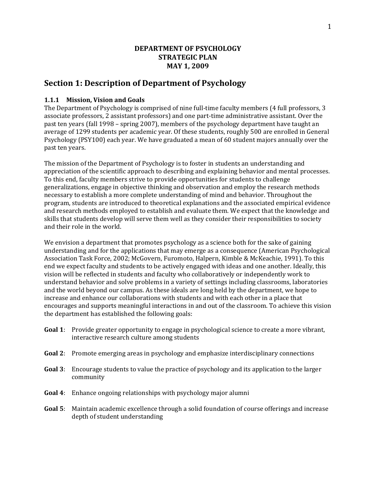## **DEPARTMENT OF PSYCHOLOGY STRATEGIC PLAN MAY 1, 2009**

# **Section 1: Description of Department of Psychology**

#### **1.1.1 Mission, Vision and Goals**

The Department of Psychology is comprised of nine full-time faculty members (4 full professors, 3 associate professors, 2 assistant professors) and one part‐time administrative assistant. Over the past ten years (fall 1998 – spring 2007), members of the psychology department have taught an average of 1299 students per academic year. Of these students, roughly 500 are enrolled in General Psychology (PSY100) each year. We have graduated a mean of 60 student majors annually over the past ten years.

The mission of the Department of Psychology is to foster in students an understanding and appreciation of the scientific approach to describing and explaining behavior and mental processes. To this end, faculty members strive to provide opportunities for students to challenge generalizations, engage in objective thinking and observation and employ the research methods necessary to establish a more complete understanding of mind and behavior. Throughout the program, students are introduced to theoretical explanations and the associated empirical evidence and research methods employed to establish and evaluate them. We expect that the knowledge and skills that students develop will serve them well as they consider their responsibilities to society and their role in the world.

We envision a department that promotes psychology as a science both for the sake of gaining understanding and for the applications that may emerge as a consequence (American Psychological Association Task Force, 2002; McGovern, Furomoto, Halpern, Kimble & McKeachie, 1991). To this end we expect faculty and students to be actively engaged with ideas and one another. Ideally, this vision will be reflected in students and faculty who collaboratively or independently work to understand behavior and solve problems in a variety of settings including classrooms, laboratories and the world beyond our campus. As these ideals are long held by the department, we hope to increase and enhance our collaborations with students and with each other in a place that encourages and supports meaningful interactions in and out of the classroom. To achieve this vision the department has established the following goals:

- **Goal 1**: Provide greater opportunity to engage in psychological science to create a more vibrant, interactive research culture among students
- **Goal 2**: Promote emerging areas in psychology and emphasize interdisciplinary connections
- **Goal 3**: Encourage students to value the practice of psychology and its application to the larger community
- **Goal 4**: Enhance ongoing relationships with psychology major alumni
- **Goal 5**: Maintain academic excellence through a solid foundation of course offerings and increase depth of student understanding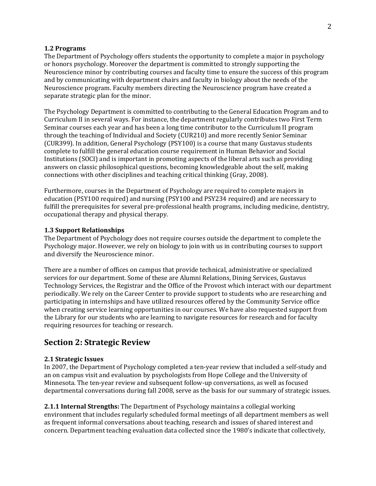#### **1.2 Programs**

The Department of Psychology offers students the opportunity to complete a major in psychology or honors psychology. Moreover the department is committed to strongly supporting the Neuroscience minor by contributing courses and faculty time to ensure the success of this program and by communicating with department chairs and faculty in biology about the needs of the Neuroscience program. Faculty members directing the Neuroscience program have created a separate strategic plan for the minor.

The Psychology Department is committed to contributing to the General Education Program and to Curriculum II in several ways. For instance, the department regularly contributes two First Term Seminar courses each year and has been a long time contributor to the Curriculum II program through the teaching of Individual and Society (CUR210) and more recently Senior Seminar (CUR399). In addition, General Psychology (PSY100) is a course that many Gustavus students complete to fulfill the general education course requirement in Human Behavior and Social Institutions (SOCI) and is important in promoting aspects of the liberal arts such as providing answers on classic philosophical questions, becoming knowledgeable about the self, making connections with other disciplines and teaching critical thinking (Gray, 2008).

Furthermore, courses in the Department of Psychology are required to complete majors in education (PSY100 required) and nursing (PSY100 and PSY234 required) and are necessary to fulfill the prerequisites for several pre‐professional health programs, including medicine, dentistry, occupational therapy and physical therapy.

#### **1.3 Support Relationships**

The Department of Psychology does not require courses outside the department to complete the Psychology major. However, we rely on biology to join with us in contributing courses to support and diversify the Neuroscience minor.

There are a number of offices on campus that provide technical, administrative or specialized services for our department. Some of these are Alumni Relations, Dining Services, Gustavus Technology Services, the Registrar and the Office of the Provost which interact with our department periodically. We rely on the Career Center to provide support to students who are researching and participating in internships and have utilized resources offered by the Community Service office when creating service learning opportunities in our courses. We have also requested support from the Library for our students who are learning to navigate resources for research and for faculty requiring resources for teaching or research.

## **Section 2: Strategic Review**

#### **2.1 Strategic Issues**

In 2007, the Department of Psychology completed a ten-year review that included a self-study and an on campus visit and evaluation by psychologists from Hope College and the University of Minnesota. The ten‐year review and subsequent follow‐up conversations, as well as focused departmental conversations during fall 2008, serve as the basis for our summary of strategic issues.

**2.1.1 Internal Strengths:** The Department of Psychology maintains a collegial working environment that includes regularly scheduled formal meetings of all department members as well as frequent informal conversations about teaching, research and issues of shared interest and concern. Department teaching evaluation data collected since the 1980's indicate that collectively,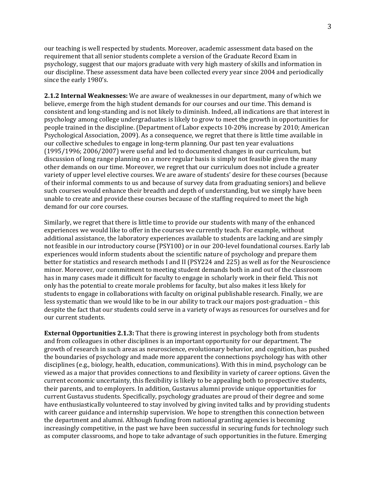our teaching is well respected by students. Moreover, academic assessment data based on the requirement that all senior students complete a version of the Graduate Record Exam in psychology, suggest that our majors graduate with very high mastery of skills and information in our discipline. These assessment data have been collected every year since 2004 and periodically since the early 1980's.

**2.1.2 Internal Weaknesses:** We are aware of weaknesses in our department, many of which we believe, emerge from the high student demands for our courses and our time. This demand is consistent and long‐standing and is not likely to diminish. Indeed, all indications are that interest in psychology among college undergraduates is likely to grow to meet the growth in opportunities for people trained in the discipline. (Department of Labor expects 10‐20% increase by 2010; American Psychological Association, 2009). As a consequence, we regret that there is little time available in our collective schedules to engage in long‐term planning. Our past ten year evaluations (1995/1996; 2006/2007) were useful and led to documented changes in our curriculum, but discussion of long range planning on a more regular basis is simply not feasible given the many other demands on our time. Moreover, we regret that our curriculum does not include a greater variety of upper level elective courses. We are aware of students' desire for these courses (because of their informal comments to us and because of survey data from graduating seniors) and believe such courses would enhance their breadth and depth of understanding, but we simply have been unable to create and provide these courses because of the staffing required to meet the high demand for our core courses.

Similarly, we regret that there is little time to provide our students with many of the enhanced experiences we would like to offer in the courses we currently teach. For example, without additional assistance, the laboratory experiences available to students are lacking and are simply not feasible in our introductory course (PSY100) or in our 200-level foundational courses. Early lab experiences would inform students about the scientific nature of psychology and prepare them better for statistics and research methods I and II (PSY224 and 225) as well as for the Neuroscience minor. Moreover, our commitment to meeting student demands both in and out of the classroom has in many cases made it difficult for faculty to engage in scholarly work in their field. This not only has the potential to create morale problems for faculty, but also makes it less likely for students to engage in collaborations with faculty on original publishable research. Finally, we are less systematic than we would like to be in our ability to track our majors post‐graduation – this despite the fact that our students could serve in a variety of ways as resources for ourselves and for our current students.

**External Opportunities 2.1.3:** That there is growing interest in psychology both from students and from colleagues in other disciplines is an important opportunity for our department. The growth of research in such areas as neuroscience, evolutionary behavior, and cognition, has pushed the boundaries of psychology and made more apparent the connections psychology has with other disciplines (e.g., biology, health, education, communications). With this in mind, psychology can be viewed as a major that provides connections to and flexibility in variety of career options. Given the current economic uncertainty, this flexibility is likely to be appealing both to prospective students, their parents, and to employers. In addition, Gustavus alumni provide unique opportunities for current Gustavus students. Specifically, psychology graduates are proud of their degree and some have enthusiastically volunteered to stay involved by giving invited talks and by providing students with career guidance and internship supervision. We hope to strengthen this connection between the department and alumni. Although funding from national granting agencies is becoming increasingly competitive, in the past we have been successful in securing funds for technology such as computer classrooms, and hope to take advantage of such opportunities in the future. Emerging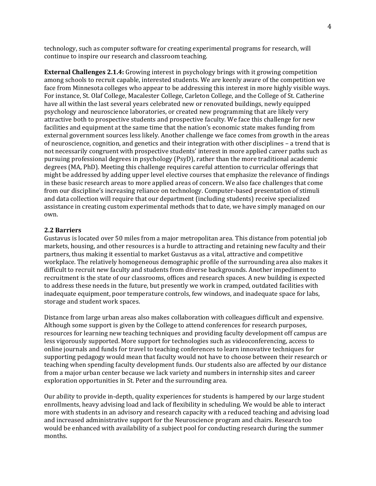technology, such as computer software for creating experimental programs for research, will continue to inspire our research and classroom teaching.

**External Challenges 2.1.4:** Growing interest in psychology brings with it growing competition among schools to recruit capable, interested students. We are keenly aware of the competition we face from Minnesota colleges who appear to be addressing this interest in more highly visible ways. For instance, St. Olaf College, Macalester College, Carleton College, and the College of St. Catherine have all within the last several years celebrated new or renovated buildings, newly equipped psychology and neuroscience laboratories, or created new programming that are likely very attractive both to prospective students and prospective faculty. We face this challenge for new facilities and equipment at the same time that the nation's economic state makes funding from external government sources less likely. Another challenge we face comes from growth in the areas of neuroscience, cognition, and genetics and their integration with other disciplines – a trend that is not necessarily congruent with prospective students' interest in more applied career paths such as pursuing professional degrees in psychology (PsyD), rather than the more traditional academic degrees (MA, PhD). Meeting this challenge requires careful attention to curricular offerings that might be addressed by adding upper level elective courses that emphasize the relevance of findings in these basic research areas to more applied areas of concern. We also face challenges that come from our discipline's increasing reliance on technology. Computer-based presentation of stimuli and data collection will require that our department (including students) receive specialized assistance in creating custom experimental methods that to date, we have simply managed on our own.

#### **2.2 Barriers**

Gustavus is located over 50 miles from a major metropolitan area. This distance from potential job markets, housing, and other resources is a hurdle to attracting and retaining new faculty and their partners, thus making it essential to market Gustavus as a vital, attractive and competitive workplace. The relatively homogeneous demographic profile of the surrounding area also makes it difficult to recruit new faculty and students from diverse backgrounds. Another impediment to recruitment is the state of our classrooms, offices and research spaces. A new building is expected to address these needs in the future, but presently we work in cramped, outdated facilities with inadequate equipment, poor temperature controls, few windows, and inadequate space for labs, storage and student work spaces.

Distance from large urban areas also makes collaboration with colleagues difficult and expensive. Although some support is given by the College to attend conferences for research purposes, resources for learning new teaching techniques and providing faculty development off campus are less vigorously supported. More support for technologies such as videoconferencing, access to online journals and funds for travel to teaching conferences to learn innovative techniques for supporting pedagogy would mean that faculty would not have to choose between their research or teaching when spending faculty development funds. Our students also are affected by our distance from a major urban center because we lack variety and numbers in internship sites and career exploration opportunities in St. Peter and the surrounding area.

Our ability to provide in‐depth, quality experiences for students is hampered by our large student enrollments, heavy advising load and lack of flexibility in scheduling. We would be able to interact more with students in an advisory and research capacity with a reduced teaching and advising load and increased administrative support for the Neuroscience program and chairs. Research too would be enhanced with availability of a subject pool for conducting research during the summer months.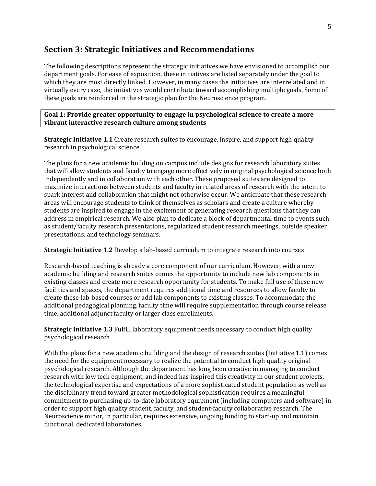# **Section 3: Strategic Initiatives and Recommendations**

The following descriptions represent the strategic initiatives we have envisioned to accomplish our department goals. For ease of exposition, these initiatives are listed separately under the goal to which they are most directly linked. However, in many cases the initiatives are interrelated and in virtually every case, the initiatives would contribute toward accomplishing multiple goals. Some of these goals are reinforced in the strategic plan for the Neuroscience program.

**Goal 1: Provide greater opportunity to engage in psychological science to create a more vibrant interactive research culture among students**

**Strategic Initiative 1.1** Create research suites to encourage, inspire, and support high quality research in psychological science

The plans for a new academic building on campus include designs for research laboratory suites that will allow students and faculty to engage more effectively in original psychological science both independently and in collaboration with each other. These proposed suites are designed to maximize interactions between students and faculty in related areas of research with the intent to spark interest and collaboration that might not otherwise occur. We anticipate that these research areas will encourage students to think of themselves as scholars and create a culture whereby students are inspired to engage in the excitement of generating research questions that they can address in empirical research. We also plan to dedicate a block of departmental time to events such as student/faculty research presentations, regularized student research meetings, outside speaker presentations, and technology seminars.

**Strategic Initiative 1.2** Develop a lab‐based curriculum to integrate research into courses

Research-based teaching is already a core component of our curriculum. However, with a new academic building and research suites comes the opportunity to include new lab components in existing classes and create more research opportunity for students. To make full use of these new facilities and spaces, the department requires additional time and resources to allow faculty to create these lab‐based courses or add lab components to existing classes. To accommodate the additional pedagogical planning, faculty time will require supplementation through course release time, additional adjunct faculty or larger class enrollments.

**Strategic Initiative 1.3** Fulfill laboratory equipment needs necessary to conduct high quality psychological research

With the plans for a new academic building and the design of research suites (Initiative 1.1) comes the need for the equipment necessary to realize the potential to conduct high quality original psychological research. Although the department has long been creative in managing to conduct research with low tech equipment, and indeed has inspired this creativity in our student projects, the technological expertise and expectations of a more sophisticated student population as well as the disciplinary trend toward greater methodological sophistication requires a meaningful commitment to purchasing up‐to‐date laboratory equipment (including computers and software) in order to support high quality student, faculty, and student‐faculty collaborative research. The Neuroscience minor, in particular, requires extensive, ongoing funding to start-up and maintain functional, dedicated laboratories.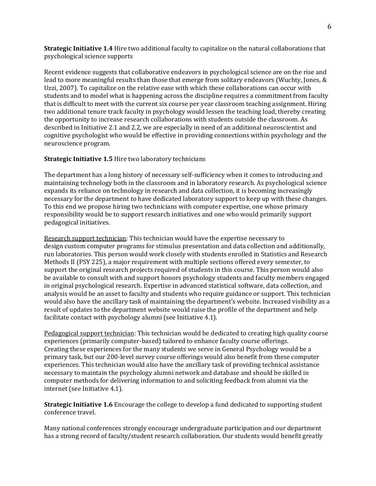**Strategic Initiative 1.4** Hire two additional faculty to capitalize on the natural collaborations that psychological science supports

Recent evidence suggests that collaborative endeavors in psychological science are on the rise and lead to more meaningful results than those that emerge from solitary endeavors (Wuchty, Jones, & Uzzi, 2007). To capitalize on the relative ease with which these collaborations can occur with students and to model what is happening across the discipline requires a commitment from faculty that is difficult to meet with the current six course per year classroom teaching assignment. Hiring two additional tenure track faculty in psychology would lessen the teaching load, thereby creating the opportunity to increase research collaborations with students outside the classroom. As described in Initiative 2.1 and 2.2, we are especially in need of an additional neuroscientist and cognitive psychologist who would be effective in providing connections within psychology and the neuroscience program.

#### **Strategic Initiative 1.5** Hire two laboratory technicians

The department has a long history of necessary self-sufficiency when it comes to introducing and maintaining technology both in the classroom and in laboratory research. As psychological science expands its reliance on technology in research and data collection, it is becoming increasingly necessary for the department to have dedicated laboratory support to keep up with these changes. To this end we propose hiring two technicians with computer expertise, one whose primary responsibility would be to support research initiatives and one who would primarily support pedagogical initiatives.

Research support technician: This technician would have the expertise necessary to design custom computer programs for stimulus presentation and data collection and additionally, run laboratories. This person would work closely with students enrolled in Statistics and Research Methods II (PSY 225), a major requirement with multiple sections offered every semester, to support the original research projects required of students in this course. This person would also be available to consult with and support honors psychology students and faculty members engaged in original psychological research. Expertise in advanced statistical software, data collection, and analysis would be an asset to faculty and students who require guidance or support. This technician would also have the ancillary task of maintaining the department's website. Increased visibility as a result of updates to the department website would raise the profile of the department and help facilitate contact with psychology alumni (see Initiative 4.1).

Pedagogical support technician: This technician would be dedicated to creating high quality course experiences (primarily computer‐based) tailored to enhance faculty course offerings. Creating these experiences for the many students we serve in General Psychology would be a primary task, but our 200‐level survey course offerings would also benefit from these computer experiences. This technician would also have the ancillary task of providing technical assistance necessary to maintain the psychology alumni network and database and should be skilled in computer methods for delivering information to and soliciting feedback from alumni via the internet (see Initiative 4.1).

**Strategic Initiative 1.6** Encourage the college to develop a fund dedicated to supporting student conference travel.

Many national conferences strongly encourage undergraduate participation and our department has a strong record of faculty/student research collaboration. Our students would benefit greatly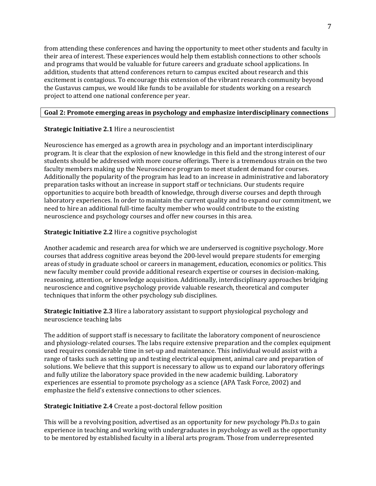from attending these conferences and having the opportunity to meet other students and faculty in their area of interest. These experiences would help them establish connections to other schools and programs that would be valuable for future careers and graduate school applications. In addition, students that attend conferences return to campus excited about research and this excitement is contagious. To encourage this extension of the vibrant research community beyond the Gustavus campus, we would like funds to be available for students working on a research project to attend one national conference per year.

#### **Goal 2: Promote emerging areas in psychology and emphasize interdisciplinary connections**

#### **Strategic Initiative 2.1** Hire a neuroscientist

Neuroscience has emerged as a growth area in psychology and an important interdisciplinary program. It is clear that the explosion of new knowledge in this field and the strong interest of our students should be addressed with more course offerings. There is a tremendous strain on the two faculty members making up the Neuroscience program to meet student demand for courses. Additionally the popularity of the program has lead to an increase in administrative and laboratory preparation tasks without an increase in support staff or technicians. Our students require opportunities to acquire both breadth of knowledge, through diverse courses and depth through laboratory experiences. In order to maintain the current quality and to expand our commitment, we need to hire an additional full‐time faculty member who would contribute to the existing neuroscience and psychology courses and offer new courses in this area.

#### **Strategic Initiative 2.2** Hire a cognitive psychologist

Another academic and research area for which we are underserved is cognitive psychology. More courses that address cognitive areas beyond the 200‐level would prepare students for emerging areas of study in graduate school or careers in management, education, economics or politics. This new faculty member could provide additional research expertise or courses in decision-making, reasoning, attention, or knowledge acquisition. Additionally, interdisciplinary approaches bridging neuroscience and cognitive psychology provide valuable research, theoretical and computer techniques that inform the other psychology sub disciplines.

**Strategic Initiative 2.3** Hire a laboratory assistant to support physiological psychology and neuroscience teaching labs

The addition of support staff is necessary to facilitate the laboratory component of neuroscience and physiology‐related courses. The labs require extensive preparation and the complex equipment used requires considerable time in set‐up and maintenance. This individual would assist with a range of tasks such as setting up and testing electrical equipment, animal care and preparation of solutions. We believe that this support is necessary to allow us to expand our laboratory offerings and fully utilize the laboratory space provided in the new academic building. Laboratory experiences are essential to promote psychology as a science (APA Task Force, 2002) and emphasize the field's extensive connections to other sciences.

## **Strategic Initiative 2.4** Create a post‐doctoral fellow position

This will be a revolving position, advertised as an opportunity for new psychology Ph.D.s to gain experience in teaching and working with undergraduates in psychology as well as the opportunity to be mentored by established faculty in a liberal arts program. Those from underrepresented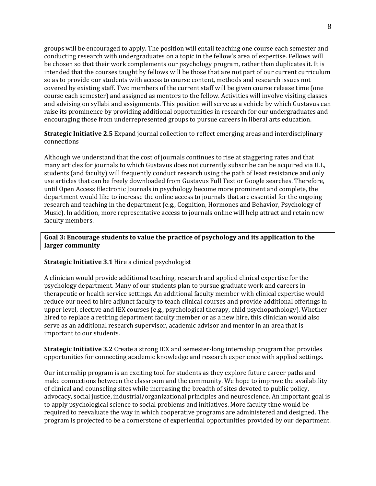groups will be encouraged to apply. The position will entail teaching one course each semester and conducting research with undergraduates on a topic in the fellow's area of expertise. Fellows will be chosen so that their work complements our psychology program, rather than duplicates it. It is intended that the courses taught by fellows will be those that are not part of our current curriculum so as to provide our students with access to course content, methods and research issues not covered by existing staff. Two members of the current staff will be given course release time (one course each semester) and assigned as mentors to the fellow. Activities will involve visiting classes and advising on syllabi and assignments. This position will serve as a vehicle by which Gustavus can raise its prominence by providing additional opportunities in research for our undergraduates and encouraging those from underrepresented groups to pursue careers in liberal arts education.

**Strategic Initiative 2.5** Expand journal collection to reflect emerging areas and interdisciplinary connections

Although we understand that the cost of journals continues to rise at staggering rates and that many articles for journals to which Gustavus does not currently subscribe can be acquired via ILL, students (and faculty) will frequently conduct research using the path of least resistance and only use articles that can be freely downloaded from Gustavus Full Text or Google searches. Therefore, until Open Access Electronic Journals in psychology become more prominent and complete, the department would like to increase the online access to journals that are essential for the ongoing research and teaching in the department (e.g., Cognition, Hormones and Behavior, Psychology of Music). In addition, more representative access to journals online will help attract and retain new faculty members.

### **Goal 3: Encourage students to value the practice of psychology and its application to the larger community**

#### **Strategic Initiative 3.1** Hire a clinical psychologist

A clinician would provide additional teaching, research and applied clinical expertise for the psychology department. Many of our students plan to pursue graduate work and careers in therapeutic or health service settings. An additional faculty member with clinical expertise would reduce our need to hire adjunct faculty to teach clinical courses and provide additional offerings in upper level, elective and IEX courses (e.g., psychological therapy, child psychopathology). Whether hired to replace a retiring department faculty member or as a new hire, this clinician would also serve as an additional research supervisor, academic advisor and mentor in an area that is important to our students.

**Strategic Initiative 3.2** Create a strong IEX and semester‐long internship program that provides opportunities for connecting academic knowledge and research experience with applied settings.

Our internship program is an exciting tool for students as they explore future career paths and make connections between the classroom and the community. We hope to improve the availability of clinical and counseling sites while increasing the breadth of sites devoted to public policy, advocacy, social justice, industrial/organizational principles and neuroscience. An important goal is to apply psychological science to social problems and initiatives. More faculty time would be required to reevaluate the way in which cooperative programs are administered and designed. The program is projected to be a cornerstone of experiential opportunities provided by our department.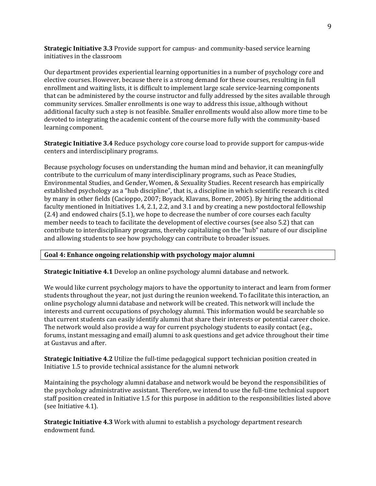**Strategic Initiative 3.3** Provide support for campus‐ and community‐based service learning initiatives in the classroom

Our department provides experiential learning opportunities in a number of psychology core and elective courses. However, because there is a strong demand for these courses, resulting in full enrollment and waiting lists, it is difficult to implement large scale service-learning components that can be administered by the course instructor and fully addressed by the sites available through community services. Smaller enrollments is one way to address this issue, although without additional faculty such a step is not feasible. Smaller enrollments would also allow more time to be devoted to integrating the academic content of the course more fully with the community‐based learning component.

**Strategic Initiative 3.4** Reduce psychology core course load to provide support for campus‐wide centers and interdisciplinary programs.

Because psychology focuses on understanding the human mind and behavior, it can meaningfully contribute to the curriculum of many interdisciplinary programs, such as Peace Studies, Environmental Studies, and Gender, Women, & Sexuality Studies. Recent research has empirically established psychology as a "hub discipline", that is, a discipline in which scientific research is cited by many in other fields (Cacioppo, 2007; Boyack, Klavans, Borner, 2005). By hiring the additional faculty mentioned in Initiatives 1.4, 2.1, 2.2, and 3.1 and by creating a new postdoctoral fellowship (2.4) and endowed chairs (5.1), we hope to decrease the number of core courses each faculty member needs to teach to facilitate the development of elective courses (see also 5.2) that can contribute to interdisciplinary programs, thereby capitalizing on the "hub" nature of our discipline and allowing students to see how psychology can contribute to broader issues.

#### **Goal 4: Enhance ongoing relationship with psychology major alumni**

**Strategic Initiative 4.1** Develop an online psychology alumni database and network.

We would like current psychology majors to have the opportunity to interact and learn from former students throughout the year, not just during the reunion weekend. To facilitate this interaction, an online psychology alumni database and network will be created. This network will include the interests and current occupations of psychology alumni. This information would be searchable so that current students can easily identify alumni that share their interests or potential career choice. The network would also provide a way for current psychology students to easily contact (e.g., forums, instant messaging and email) alumni to ask questions and get advice throughout their time at Gustavus and after.

**Strategic Initiative 4.2** Utilize the full‐time pedagogical support technician position created in Initiative 1.5 to provide technical assistance for the alumni network

Maintaining the psychology alumni database and network would be beyond the responsibilities of the psychology administrative assistant. Therefore, we intend to use the full‐time technical support staff position created in Initiative 1.5 for this purpose in addition to the responsibilities listed above (see Initiative 4.1).

**Strategic Initiative 4.3** Work with alumni to establish a psychology department research endowment fund.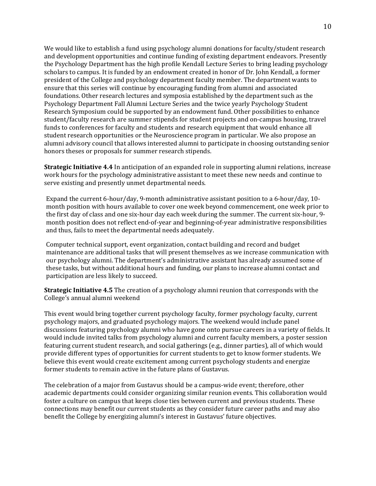We would like to establish a fund using psychology alumni donations for faculty/student research and development opportunities and continue funding of existing department endeavors. Presently the Psychology Department has the high profile Kendall Lecture Series to bring leading psychology scholars to campus. It is funded by an endowment created in honor of Dr. John Kendall, a former president of the College and psychology department faculty member. The department wants to ensure that this series will continue by encouraging funding from alumni and associated foundations. Other research lectures and symposia established by the department such as the Psychology Department Fall Alumni Lecture Series and the twice yearly Psychology Student Research Symposium could be supported by an endowment fund. Other possibilities to enhance student/faculty research are summer stipends for student projects and on‐campus housing, travel funds to conferences for faculty and students and research equipment that would enhance all student research opportunities or the Neuroscience program in particular. We also propose an alumni advisory council that allows interested alumni to participate in choosing outstanding senior honors theses or proposals for summer research stipends.

**Strategic Initiative 4.4** In anticipation of an expanded role in supporting alumni relations, increase work hours for the psychology administrative assistant to meet these new needs and continue to serve existing and presently unmet departmental needs.

Expand the current 6‐hour/day, 9‐month administrative assistant position to a 6‐hour/day, 10‐ month position with hours available to cover one week beyond commencement, one week prior to the first day of class and one six‐hour day each week during the summer. The current six‐hour, 9‐ month position does not reflect end‐of‐year and beginning‐of‐year administrative responsibilities and thus, fails to meet the departmental needs adequately.

Computer technical support, event organization, contact building and record and budget maintenance are additional tasks that will present themselves as we increase communication with our psychology alumni. The department's administrative assistant has already assumed some of these tasks, but without additional hours and funding, our plans to increase alumni contact and participation are less likely to succeed.

**Strategic Initiative 4.5** The creation of a psychology alumni reunion that corresponds with the College's annual alumni weekend

This event would bring together current psychology faculty, former psychology faculty, current psychology majors, and graduated psychology majors. The weekend would include panel discussions featuring psychology alumni who have gone onto pursue careers in a variety of fields. It would include invited talks from psychology alumni and current faculty members, a poster session featuring current student research, and social gatherings (e.g., dinner parties), all of which would provide different types of opportunities for current students to get to know former students. We believe this event would create excitement among current psychology students and energize former students to remain active in the future plans of Gustavus.

The celebration of a major from Gustavus should be a campus-wide event; therefore, other academic departments could consider organizing similar reunion events. This collaboration would foster a culture on campus that keeps close ties between current and previous students. These connections may benefit our current students as they consider future career paths and may also benefit the College by energizing alumni's interest in Gustavus' future objectives.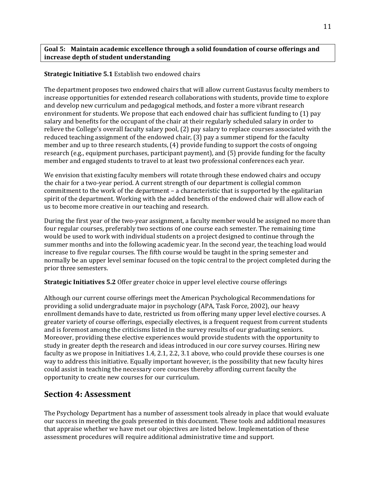#### **Goal 5: Maintain academic excellence through a solid foundation of course offerings and increase depth of student understanding**

### **Strategic Initiative 5.1** Establish two endowed chairs

The department proposes two endowed chairs that will allow current Gustavus faculty members to increase opportunities for extended research collaborations with students, provide time to explore and develop new curriculum and pedagogical methods, and foster a more vibrant research environment for students. We propose that each endowed chair has sufficient funding to (1) pay salary and benefits for the occupant of the chair at their regularly scheduled salary in order to relieve the College's overall faculty salary pool, (2) pay salary to replace courses associated with the reduced teaching assignment of the endowed chair, (3) pay a summer stipend for the faculty member and up to three research students, (4) provide funding to support the costs of ongoing research (e.g., equipment purchases, participant payment), and (5) provide funding for the faculty member and engaged students to travel to at least two professional conferences each year.

We envision that existing faculty members will rotate through these endowed chairs and occupy the chair for a two‐year period. A current strength of our department is collegial common commitment to the work of the department – a characteristic that is supported by the egalitarian spirit of the department. Working with the added benefits of the endowed chair will allow each of us to become more creative in our teaching and research.

During the first year of the two-year assignment, a faculty member would be assigned no more than four regular courses, preferably two sections of one course each semester. The remaining time would be used to work with individual students on a project designed to continue through the summer months and into the following academic year. In the second year, the teaching load would increase to five regular courses. The fifth course would be taught in the spring semester and normally be an upper level seminar focused on the topic central to the project completed during the prior three semesters.

**Strategic Initiatives 5.2** Offer greater choice in upper level elective course offerings

Although our current course offerings meet the American Psychological Recommendations for providing a solid undergraduate major in psychology (APA, Task Force, 2002), our heavy enrollment demands have to date, restricted us from offering many upper level elective courses. A greater variety of course offerings, especially electives, is a frequent request from current students and is foremost among the criticisms listed in the survey results of our graduating seniors. Moreover, providing these elective experiences would provide students with the opportunity to study in greater depth the research and ideas introduced in our core survey courses. Hiring new faculty as we propose in Initiatives 1.4, 2.1, 2.2, 3.1 above, who could provide these courses is one way to address this initiative. Equally important however, is the possibility that new faculty hires could assist in teaching the necessary core courses thereby affording current faculty the opportunity to create new courses for our curriculum.

# **Section 4: Assessment**

The Psychology Department has a number of assessment tools already in place that would evaluate our success in meeting the goals presented in this document. These tools and additional measures that appraise whether we have met our objectives are listed below. Implementation of these assessment procedures will require additional administrative time and support.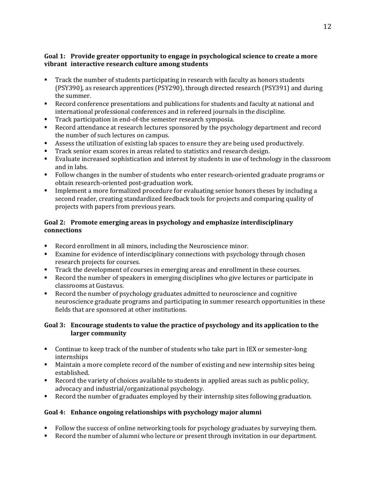### **Goal 1: Provide greater opportunity to engage in psychological science to create a more vibrant interactive research culture among students**

- **Track the number of students participating in research with faculty as honors students** (PSY390), as research apprentices (PSY290), through directed research (PSY391) and during the summer.
- Record conference presentations and publications for students and faculty at national and international professional conferences and in refereed journals in the discipline.
- Track participation in end-of-the semester research symposia.
- Record attendance at research lectures sponsored by the psychology department and record the number of such lectures on campus.
- Assess the utilization of existing lab spaces to ensure they are being used productively.
- Track senior exam scores in areas related to statistics and research design.
- Evaluate increased sophistication and interest by students in use of technology in the classroom and in labs.
- Follow changes in the number of students who enter research-oriented graduate programs or obtain research‐oriented post‐graduation work.
- Implement a more formalized procedure for evaluating senior honors theses by including a second reader, creating standardized feedback tools for projects and comparing quality of projects with papers from previous years.

## **Goal 2: Promote emerging areas in psychology and emphasize interdisciplinary connections**

- Record enrollment in all minors, including the Neuroscience minor.
- Examine for evidence of interdisciplinary connections with psychology through chosen research projects for courses.
- Track the development of courses in emerging areas and enrollment in these courses.
- Record the number of speakers in emerging disciplines who give lectures or participate in classrooms at Gustavus.
- Record the number of psychology graduates admitted to neuroscience and cognitive neuroscience graduate programs and participating in summer research opportunities in these fields that are sponsored at other institutions.

## **Goal 3: Encourage students to value the practice of psychology and its application to the larger community**

- Continue to keep track of the number of students who take part in IEX or semester-long internships
- Maintain a more complete record of the number of existing and new internship sites being established.
- Record the variety of choices available to students in applied areas such as public policy, advocacy and industrial/organizational psychology.
- Record the number of graduates employed by their internship sites following graduation.

## **Goal 4: Enhance ongoing relationships with psychology major alumni**

- Follow the success of online networking tools for psychology graduates by surveying them.
- Record the number of alumni who lecture or present through invitation in our department.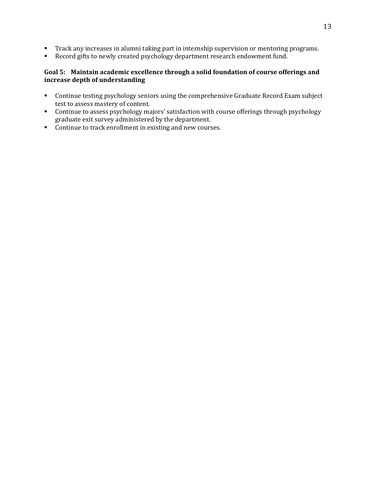- **Track any increases in alumni taking part in internship supervision or mentoring programs.**
- Record gifts to newly created psychology department research endowment fund.

## **Goal 5: Maintain academic excellence through a solid foundation of course offerings and increase depth of understanding**

- **Continue testing psychology seniors using the comprehensive Graduate Record Exam subject** test to assess mastery of content.
- Continue to assess psychology majors' satisfaction with course offerings through psychology graduate exit survey administered by the department.
- Continue to track enrollment in existing and new courses.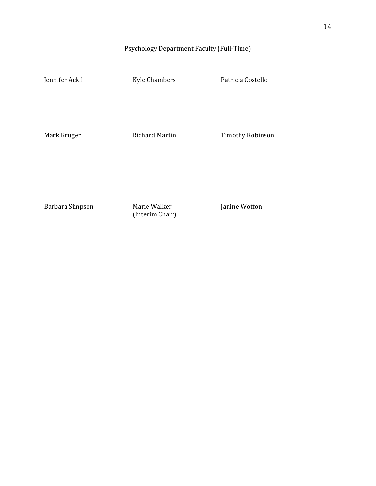# Psychology Department Faculty (Full‐Time)

Jennifer Ackil Kyle Chambers Patricia Costello

Mark Kruger Richard Martin Timothy Robinson

Barbara Simpson Marie Walker Janine Wotton

(Interim Chair)